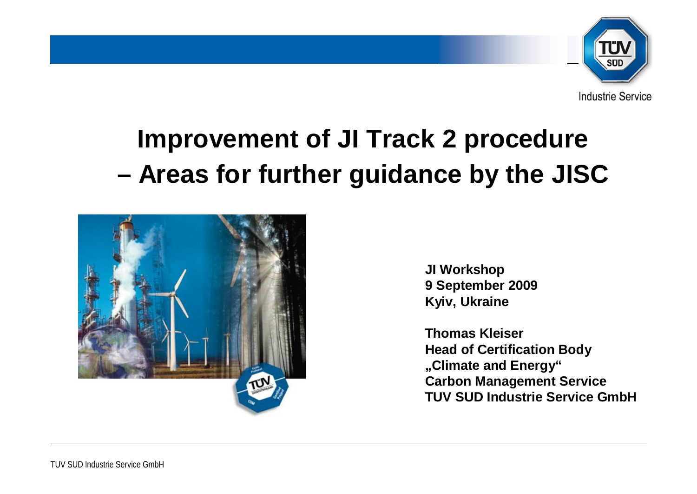

# **Improvement of JI Track 2 procedure – Areas for further guidance by the JISC**



**JI Workshop 9 September 2009 Kyiv, Ukraine**

**Thomas Kleiser Head of Certification Body "Climate and Energy" Carbon Management Service TUV SUD Industrie Service GmbH**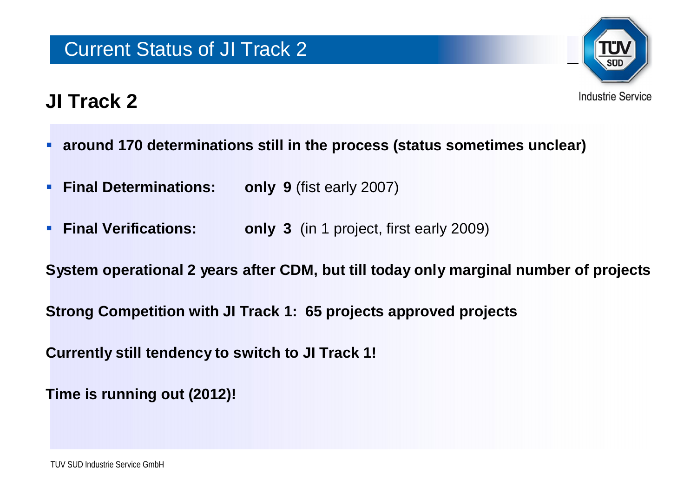

## **JI Track 2**

- **around 170 determinations still in the process (status sometimes unclear)**
- **Final Determinations: only 9** (fist early 2007)
- **Final Verifications: only 3** (in 1 project, first early 2009)

**System operational 2 years after CDM, but till today only marginal number of projects**

**Strong Competition with JI Track 1: 65 projects approved projects**

**Currently still tendency to switch to JI Track 1!**

**Time is running out (2012)!**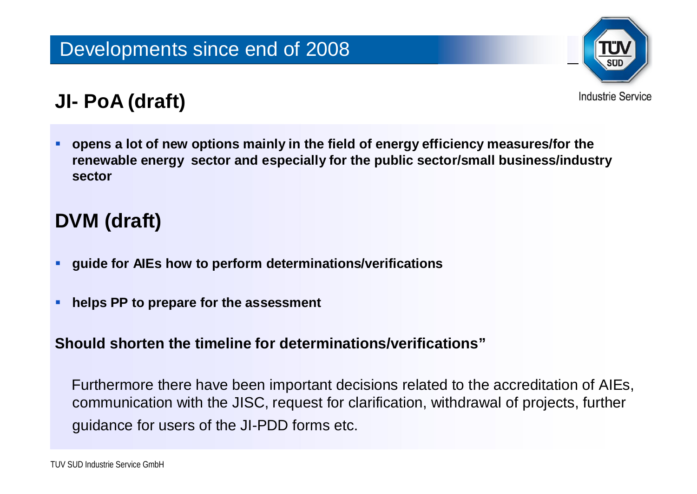

# **JI- PoA (draft)**

 **opens a lot of new options mainly in the field of energy efficiency measures/for the renewable energy sector and especially for the public sector/small business/industry sector** 

### **DVM (draft)**

- **guide for AIEs how to perform determinations/verifications**
- **helps PP to prepare for the assessment**

#### **Should shorten the timeline for determinations/verifications"**

Furthermore there have been important decisions related to the accreditation of AIEs, communication with the JISC, request for clarification, withdrawal of projects, further guidance for users of the JI-PDD forms etc.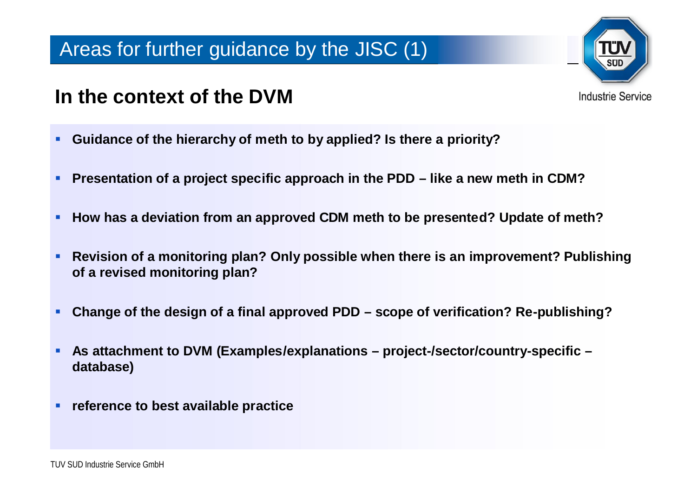

**Industrie Service** 

#### **In the context of the DVM**

- **Guidance of the hierarchy of meth to by applied? Is there a priority?**
- **Presentation of a project specific approach in the PDD – like a new meth in CDM?**
- **How has a deviation from an approved CDM meth to be presented? Update of meth?**
- **Revision of a monitoring plan? Only possible when there is an improvement? Publishing of a revised monitoring plan?**
- **Change of the design of a final approved PDD – scope of verification? Re-publishing?**
- **As attachment to DVM (Examples/explanations – project-/sector/country-specific – database)**
- **reference to best available practice**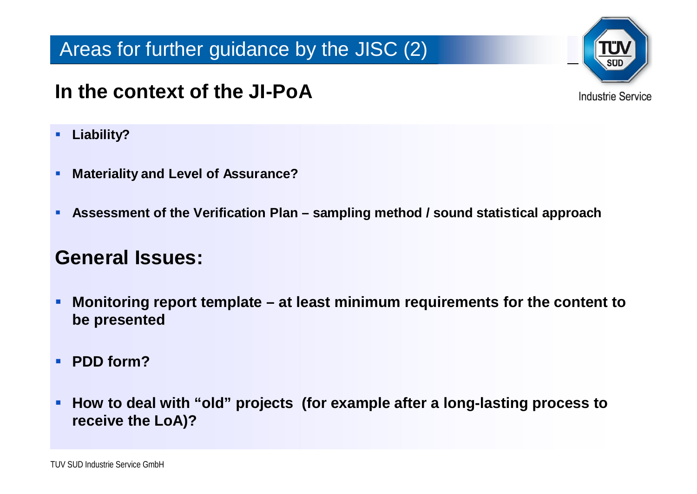#### Areas for further guidance by the JISC (2)

## **In the context of the JI-PoA**

- **Liability?**
- **Materiality and Level of Assurance?**
- **Assessment of the Verification Plan – sampling method / sound statistical approach**

#### **General Issues:**

- **Monitoring report template – at least minimum requirements for the content to be presented**
- **PDD form?**
- **How to deal with "old" projects (for example after a long-lasting process to receive the LoA)?**



**Industrie Service**